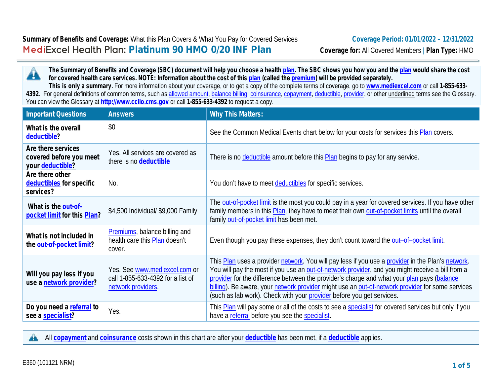**The Summary of Benefits and Coverage (SBC) document will help you choose a health plan. The SBC shows you how you and the plan would share the cost for covered health care services. NOTE: Information about the cost of this plan (called the premium) will be provided separately.**

**This is only a summary.** For more information about your coverage, or to get a copy of the complete terms of coverage, go to **www.mediexcel.com** or call **1-855-633-** 4392. For general definitions of common terms, such as allowed amount, balance billing, coinsurance, copayment, deductible, provider, or other underlined terms see the Glossary. You can view the Glossary at **http://www.cciio.cms.gov** or call **1-855-633-4392** to request a copy.

| Important Questions                                               | <b>Answers</b>                                                                           | <b>Why This Matters:</b>                                                                                                                                                                                                                                                                                                                                                                                                                                                         |
|-------------------------------------------------------------------|------------------------------------------------------------------------------------------|----------------------------------------------------------------------------------------------------------------------------------------------------------------------------------------------------------------------------------------------------------------------------------------------------------------------------------------------------------------------------------------------------------------------------------------------------------------------------------|
| What is the overall<br>deductible?                                | \$0                                                                                      | See the Common Medical Events chart below for your costs for services this Plan covers.                                                                                                                                                                                                                                                                                                                                                                                          |
| Are there services<br>covered before you meet<br>your deductible? | Yes. All services are covered as<br>there is no deductible                               | There is no <b>deductible</b> amount before this <b>Plan</b> begins to pay for any service.                                                                                                                                                                                                                                                                                                                                                                                      |
| Are there other<br>deductibles for specific<br>services?          | No.                                                                                      | You don't have to meet deductibles for specific services.                                                                                                                                                                                                                                                                                                                                                                                                                        |
| What is the out-of-<br>pocket limit for this Plan?                | \$4,500 Individual/ \$9,000 Family                                                       | The out-of-pocket limit is the most you could pay in a year for covered services. If you have other<br>family members in this Plan, they have to meet their own out-of-pocket limits until the overall<br>family out-of-pocket limit has been met.                                                                                                                                                                                                                               |
| What is not included in<br>the out-of-pocket limit?               | <b>Premiums</b> , balance billing and<br>health care this Plan doesn't<br>cover.         | Even though you pay these expenses, they don't count toward the out-of-pocket limit.                                                                                                                                                                                                                                                                                                                                                                                             |
| Will you pay less if you<br>use a network provider?               | Yes. See www.mediexcel.com or<br>call 1-855-633-4392 for a list of<br>network providers. | This Plan uses a provider network. You will pay less if you use a provider in the Plan's network.<br>You will pay the most if you use an out-of-network provider, and you might receive a bill from a<br>provider for the difference between the provider's charge and what your plan pays (balance<br>billing). Be aware, your network provider might use an out-of-network provider for some services<br>(such as lab work). Check with your provider before you get services. |
| Do you need a referral to<br>see a specialist?                    | Yes.                                                                                     | This Plan will pay some or all of the costs to see a specialist for covered services but only if you<br>have a referral before you see the specialist.                                                                                                                                                                                                                                                                                                                           |

All **copayment** and **coinsurance** costs shown in this chart are after your **deductible** has been met, if a **deductible** applies.

Æ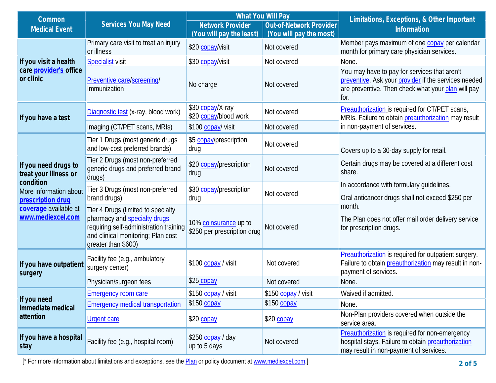| Common                                                                                                 |                                                                                                                                                                           | What You Will Pay                                    |                         | Limitations, Exceptions, & Other Important                                                                                                                                               |  |
|--------------------------------------------------------------------------------------------------------|---------------------------------------------------------------------------------------------------------------------------------------------------------------------------|------------------------------------------------------|-------------------------|------------------------------------------------------------------------------------------------------------------------------------------------------------------------------------------|--|
| <b>Medical Event</b>                                                                                   | Services You May Need                                                                                                                                                     | <b>Network Provider</b>                              | Out-of-Network Provider | Information                                                                                                                                                                              |  |
|                                                                                                        |                                                                                                                                                                           | (You will pay the least)                             | (You will pay the most) |                                                                                                                                                                                          |  |
|                                                                                                        | Primary care visit to treat an injury<br>or illness                                                                                                                       | \$20 copay/visit                                     | Not covered             | Member pays maximum of one copay per calendar<br>month for primary care physician services.                                                                                              |  |
| If you visit a health                                                                                  | <b>Specialist visit</b>                                                                                                                                                   | \$30 copay/visit                                     | Not covered             | None.                                                                                                                                                                                    |  |
| care provider's office<br>or clinic                                                                    | Preventive care/screening/<br>Immunization                                                                                                                                | No charge                                            | Not covered             | You may have to pay for services that aren't<br>preventive. Ask your provider if the services needed<br>are preventive. Then check what your plan will pay<br>for.                       |  |
| If you have a test                                                                                     | Diagnostic test (x-ray, blood work)                                                                                                                                       | \$30 copay/X-ray<br>\$20 copay/blood work            | Not covered             | Preauthorization is required for CT/PET scans,<br>MRIs. Failure to obtain preauthorization may result                                                                                    |  |
|                                                                                                        | Imaging (CT/PET scans, MRIs)                                                                                                                                              | \$100 copay/ visit                                   | Not covered             | in non-payment of services.                                                                                                                                                              |  |
|                                                                                                        | Tier 1 Drugs (most generic drugs<br>and low-cost preferred brands)                                                                                                        | \$5 copay/prescription<br>drug                       | Not covered             | Covers up to a 30-day supply for retail.                                                                                                                                                 |  |
| If you need drugs to<br>treat your illness or                                                          | Tier 2 Drugs (most non-preferred<br>generic drugs and preferred brand<br>drugs)                                                                                           | \$20 copay/prescription<br>drug                      | Not covered             | Certain drugs may be covered at a different cost<br>share.                                                                                                                               |  |
| condition<br>More information about<br>prescription drug<br>coverage available at<br>www.mediexcel.com | Tier 3 Drugs (most non-preferred<br>brand drugs)                                                                                                                          | \$30 copay/prescription<br>drug                      | Not covered             | In accordance with formulary quidelines.<br>Oral anticancer drugs shall not exceed \$250 per<br>month.<br>The Plan does not offer mail order delivery service<br>for prescription drugs. |  |
|                                                                                                        | Tier 4 Drugs (limited to specialty<br>pharmacy and specialty drugs<br>requiring self-administration training<br>and clinical monitoring; Plan cost<br>greater than \$600) | 10% coinsurance up to<br>\$250 per prescription drug | Not covered             |                                                                                                                                                                                          |  |
| If you have outpatient<br>surgery                                                                      | Facility fee (e.g., ambulatory<br>surgery center)                                                                                                                         | \$100 copay / visit                                  | Not covered             | Preauthorization is required for outpatient surgery.<br>Failure to obtain preauthorization may result in non-<br>payment of services.                                                    |  |
|                                                                                                        | Physician/surgeon fees                                                                                                                                                    | \$25 copay                                           | Not covered             | None.                                                                                                                                                                                    |  |
|                                                                                                        | Emergency room care                                                                                                                                                       | \$150 copay / visit                                  | \$150 copay / visit     | Waived if admitted.                                                                                                                                                                      |  |
| If you need<br>immediate medical<br>attention                                                          | <b>Emergency medical transportation</b>                                                                                                                                   | \$150 copay                                          | \$150 copay             | None.                                                                                                                                                                                    |  |
|                                                                                                        | <b>Urgent care</b>                                                                                                                                                        | \$20 copay                                           | \$20 copay              | Non-Plan providers covered when outside the<br>service area.                                                                                                                             |  |
| If you have a hospital<br>stay                                                                         | Facility fee (e.g., hospital room)                                                                                                                                        | \$250 copay / day<br>up to 5 days                    | Not covered             | Preauthorization is required for non-emergency<br>hospital stays. Failure to obtain preauthorization<br>may result in non-payment of services.                                           |  |

[\* For more information about limitations and exceptions, see the **Plan** or policy document at www.mediexcel.com.]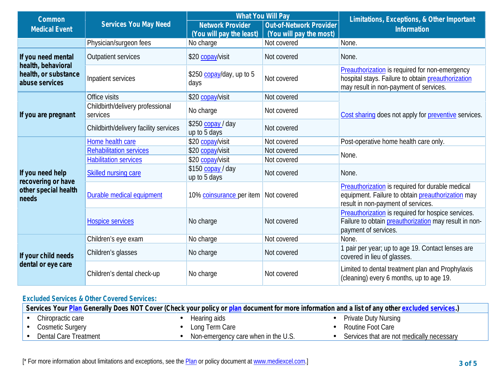| Common                                                       |                                              |                                   | What You Will Pay       | Limitations, Exceptions, & Other Important                                                                                                     |  |
|--------------------------------------------------------------|----------------------------------------------|-----------------------------------|-------------------------|------------------------------------------------------------------------------------------------------------------------------------------------|--|
| <b>Medical Event</b>                                         | Services You May Need                        | Network Provider                  | Out-of-Network Provider | Information                                                                                                                                    |  |
|                                                              |                                              | (You will pay the least)          | (You will pay the most) |                                                                                                                                                |  |
|                                                              | Physician/surgeon fees                       | No charge                         | Not covered             | None.                                                                                                                                          |  |
| If you need mental                                           | <b>Outpatient services</b>                   | \$20 copay/visit                  | Not covered             | None.                                                                                                                                          |  |
| health, behavioral<br>health, or substance<br>abuse services | Inpatient services                           | \$250 copay/day, up to 5<br>days  | Not covered             | Preauthorization is required for non-emergency<br>hospital stays. Failure to obtain preauthorization<br>may result in non-payment of services. |  |
|                                                              | Office visits                                | \$20 copay/visit                  | Not covered             |                                                                                                                                                |  |
| If you are pregnant                                          | Childbirth/delivery professional<br>services | No charge                         | Not covered             | Cost sharing does not apply for preventive services.                                                                                           |  |
|                                                              | Childbirth/delivery facility services        | \$250 copay / day<br>up to 5 days | Not covered             |                                                                                                                                                |  |
|                                                              | Home health care                             | \$20 copay/visit                  | Not covered             | Post-operative home health care only.                                                                                                          |  |
|                                                              | <b>Rehabilitation services</b>               | \$20 copay/visit                  | Not covered             | None.                                                                                                                                          |  |
|                                                              | <b>Habilitation services</b>                 | \$20 copay/visit                  | Not covered             |                                                                                                                                                |  |
| If you need help<br>recovering or have                       | Skilled nursing care                         | \$150 copay / day<br>up to 5 days | Not covered             | None.                                                                                                                                          |  |
| other special health<br>needs                                | Durable medical equipment                    | 10% coinsurance per item          | Not covered             | Preauthorization is required for durable medical<br>equipment. Failure to obtain preauthorization may<br>result in non-payment of services.    |  |
|                                                              | <b>Hospice services</b>                      | No charge                         | Not covered             | Preauthorization is required for hospice services.<br>Failure to obtain preauthorization may result in non-<br>payment of services.            |  |
| If your child needs<br>dental or eye care                    | Children's eye exam                          | No charge                         | Not covered             | None.                                                                                                                                          |  |
|                                                              | Children's glasses                           | No charge                         | Not covered             | 1 pair per year; up to age 19. Contact lenses are<br>covered in lieu of glasses.                                                               |  |
|                                                              | Children's dental check-up                   | No charge                         | Not covered             | Limited to dental treatment plan and Prophylaxis<br>(cleaning) every 6 months, up to age 19.                                                   |  |

## **Excluded Services & Other Covered Services:**

| Services Your Plan Generally Does NOT Cover (Check your policy or plan document for more information and a list of any other excluded services.) |                                     |                                           |  |  |
|--------------------------------------------------------------------------------------------------------------------------------------------------|-------------------------------------|-------------------------------------------|--|--|
| Chiropractic care                                                                                                                                | Hearing aids                        | <b>Private Duty Nursing</b>               |  |  |
| Cosmetic Surgery                                                                                                                                 | Long Term Care                      | Routine Foot Care                         |  |  |
| Dental Care Treatment                                                                                                                            | Non-emergency care when in the U.S. | Services that are not medically necessary |  |  |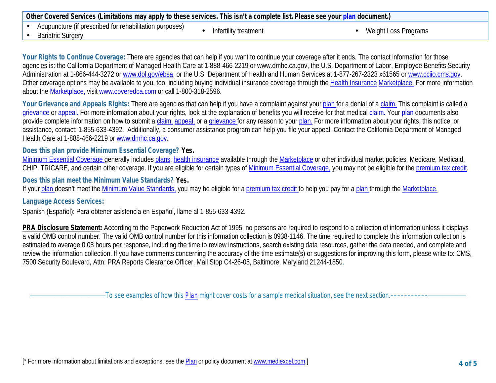| Other Covered Services (Limitations may apply to these services. This isn't a complete list. Please see your plan document.) |                       |                      |
|------------------------------------------------------------------------------------------------------------------------------|-----------------------|----------------------|
| Acupuncture (if prescribed for rehabilitation purposes)<br><b>Bariatric Surgery</b>                                          | Infertility treatment | Weight Loss Programs |

**Your Rights to Continue Coverage:** There are agencies that can help if you want to continue your coverage after it ends. The contact information for those agencies is: the California Department of Managed Health Care at 1-888-466-2219 or www.dmhc.ca.gov, the U.S. Department of Labor, Employee Benefits Security Administration at 1-866-444-3272 or www.dol.gov/ebsa, or the U.S. Department of Health and Human Services at 1-877-267-2323 x61565 or www.cciio.cms.gov. Other coverage options may be available to you, too, including buying individual insurance coverage through the Health Insurance Marketplace. For more information about the Marketplace, visit www.coveredca.com or call 1-800-318-2596.

Your Grievance and Appeals Rights: There are agencies that can help if you have a complaint against your plan for a denial of a claim. This complaint is called a grievance or appeal. For more information about your rights, look at the explanation of benefits you will receive for that medical claim. Your plan documents also provide complete information on how to submit a claim, appeal, or a grievance for any reason to your plan. For more information about your rights, this notice, or assistance, contact: 1-855-633-4392. Additionally, a consumer assistance program can help you file your appeal. Contact the California Department of Managed Health Care at 1-888-466-2219 or www.dmhc.ca.gov.

**Does this plan provide Minimum Essential Coverage? Yes.**

Minimum Essential Coverage generally includes plans, health insurance available through the Marketplace or other individual market policies, Medicare, Medicaid, CHIP, TRICARE, and certain other coverage. If you are eligible for certain types of Minimum Essential Coverage, you may not be eligible for the premium tax credit.

**Does this plan meet the Minimum Value Standards? Yes.**

If your plan doesn't meet the Minimum Value Standards, you may be eligible for a premium tax credit to help you pay for a plan through the Marketplace.

## **Language Access Services:**

Spanish (Español): Para obtener asistencia en Español, llame al 1-855-633-4392.

**PRA Disclosure Statement:** According to the Paperwork Reduction Act of 1995, no persons are required to respond to a collection of information unless it displays a valid OMB control number. The valid OMB control number for this information collection is 0938-1146. The time required to complete this information collection is estimated to average 0.08 hours per response, including the time to review instructions, search existing data resources, gather the data needed, and complete and review the information collection. If you have comments concerning the accuracy of the time estimate(s) or suggestions for improving this form, please write to: CMS, 7500 Security Boulevard, Attn: PRA Reports Clearance Officer, Mail Stop C4-26-05, Baltimore, Maryland 21244-1850.

––––––––––––––––––––––*To see examples of how this Plan might cover costs for a sample medical situation, see the next section.–––––––––––*–––––––––––